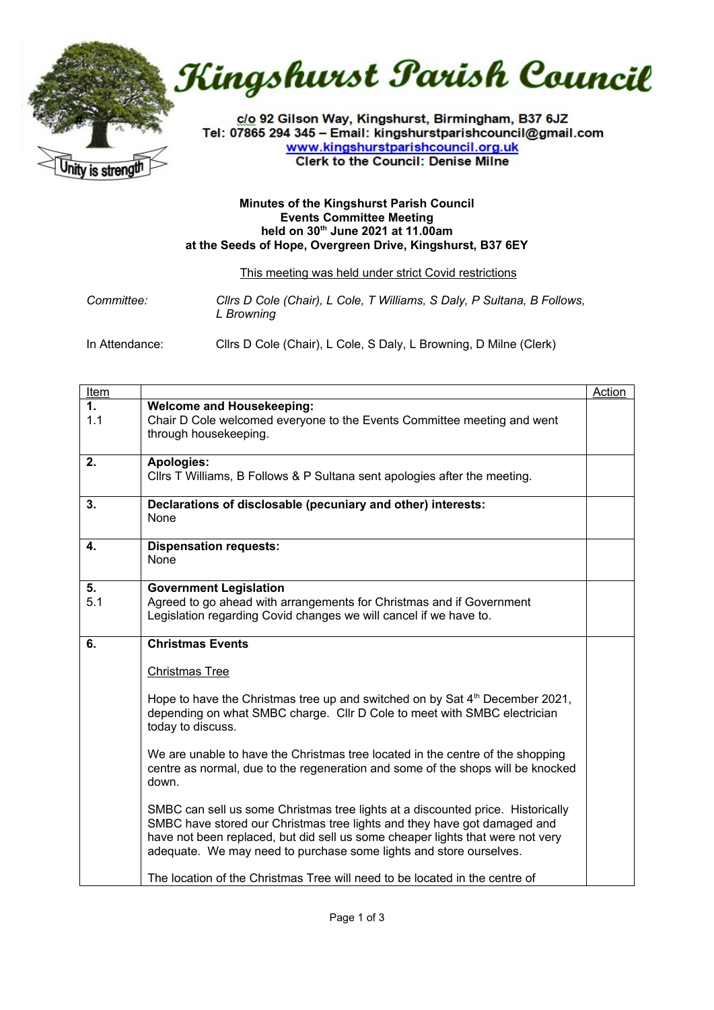

Kingshurst Parish Council

c/o 92 Gilson Way, Kingshurst, Birmingham, B37 6JZ Tel: 07865 294 345 - Email: kingshurstparishcouncil@gmail.com www.kingshurstparishcouncil.org.uk **Clerk to the Council: Denise Milne** 

## **Minutes of the Kingshurst Parish Council Events Committee Meeting held on 30th June 2021 at 11.00am at the Seeds of Hope, Overgreen Drive, Kingshurst, B37 6EY**

## This meeting was held under strict Covid restrictions

*Committee: Cllrs D Cole (Chair), L Cole, T Williams, S Daly, P Sultana, B Follows, L Browning*

In Attendance: Cllrs D Cole (Chair), L Cole, S Daly, L Browning, D Milne (Clerk)

| <u>Item</u> |                                                                                                                                                                                                                                                                                                                     | Action |
|-------------|---------------------------------------------------------------------------------------------------------------------------------------------------------------------------------------------------------------------------------------------------------------------------------------------------------------------|--------|
| 1.<br>1.1   | <b>Welcome and Housekeeping:</b><br>Chair D Cole welcomed everyone to the Events Committee meeting and went                                                                                                                                                                                                         |        |
|             | through housekeeping.                                                                                                                                                                                                                                                                                               |        |
| 2.          | Apologies:<br>Cllrs T Williams, B Follows & P Sultana sent apologies after the meeting.                                                                                                                                                                                                                             |        |
| 3.          | Declarations of disclosable (pecuniary and other) interests:<br>None                                                                                                                                                                                                                                                |        |
| 4.          | <b>Dispensation requests:</b><br>None                                                                                                                                                                                                                                                                               |        |
| 5.<br>5.1   | <b>Government Legislation</b><br>Agreed to go ahead with arrangements for Christmas and if Government<br>Legislation regarding Covid changes we will cancel if we have to.                                                                                                                                          |        |
| 6.          | <b>Christmas Events</b>                                                                                                                                                                                                                                                                                             |        |
|             | <b>Christmas Tree</b>                                                                                                                                                                                                                                                                                               |        |
|             | Hope to have the Christmas tree up and switched on by Sat 4th December 2021,<br>depending on what SMBC charge. Cllr D Cole to meet with SMBC electrician<br>today to discuss.                                                                                                                                       |        |
|             | We are unable to have the Christmas tree located in the centre of the shopping<br>centre as normal, due to the regeneration and some of the shops will be knocked<br>down.                                                                                                                                          |        |
|             | SMBC can sell us some Christmas tree lights at a discounted price. Historically<br>SMBC have stored our Christmas tree lights and they have got damaged and<br>have not been replaced, but did sell us some cheaper lights that were not very<br>adequate. We may need to purchase some lights and store ourselves. |        |
|             | The location of the Christmas Tree will need to be located in the centre of                                                                                                                                                                                                                                         |        |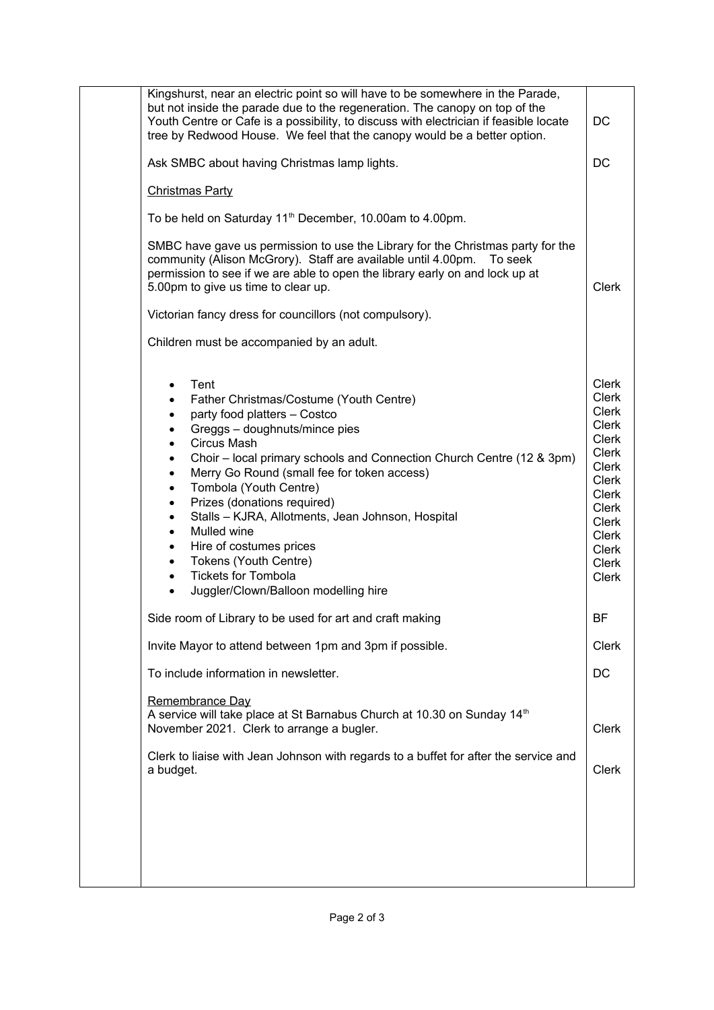| Kingshurst, near an electric point so will have to be somewhere in the Parade,<br>but not inside the parade due to the regeneration. The canopy on top of the<br>Youth Centre or Cafe is a possibility, to discuss with electrician if feasible locate<br>tree by Redwood House. We feel that the canopy would be a better option.                                                                                                                                                                                                                                                                                                                                                                                                                               | DC                                                                                                                                                                                                                     |
|------------------------------------------------------------------------------------------------------------------------------------------------------------------------------------------------------------------------------------------------------------------------------------------------------------------------------------------------------------------------------------------------------------------------------------------------------------------------------------------------------------------------------------------------------------------------------------------------------------------------------------------------------------------------------------------------------------------------------------------------------------------|------------------------------------------------------------------------------------------------------------------------------------------------------------------------------------------------------------------------|
| Ask SMBC about having Christmas lamp lights.                                                                                                                                                                                                                                                                                                                                                                                                                                                                                                                                                                                                                                                                                                                     | DC                                                                                                                                                                                                                     |
| <b>Christmas Party</b>                                                                                                                                                                                                                                                                                                                                                                                                                                                                                                                                                                                                                                                                                                                                           |                                                                                                                                                                                                                        |
| To be held on Saturday 11 <sup>th</sup> December, 10.00am to 4.00pm.                                                                                                                                                                                                                                                                                                                                                                                                                                                                                                                                                                                                                                                                                             |                                                                                                                                                                                                                        |
| SMBC have gave us permission to use the Library for the Christmas party for the<br>community (Alison McGrory). Staff are available until 4.00pm.<br>To seek<br>permission to see if we are able to open the library early on and lock up at<br>5.00pm to give us time to clear up.                                                                                                                                                                                                                                                                                                                                                                                                                                                                               | <b>Clerk</b>                                                                                                                                                                                                           |
| Victorian fancy dress for councillors (not compulsory).                                                                                                                                                                                                                                                                                                                                                                                                                                                                                                                                                                                                                                                                                                          |                                                                                                                                                                                                                        |
| Children must be accompanied by an adult.                                                                                                                                                                                                                                                                                                                                                                                                                                                                                                                                                                                                                                                                                                                        |                                                                                                                                                                                                                        |
| Tent<br>$\bullet$<br>Father Christmas/Costume (Youth Centre)<br>$\bullet$<br>party food platters - Costco<br>$\bullet$<br>Greggs - doughnuts/mince pies<br>Circus Mash<br>$\bullet$<br>Choir – local primary schools and Connection Church Centre (12 & 3pm)<br>$\bullet$<br>Merry Go Round (small fee for token access)<br>$\bullet$<br>Tombola (Youth Centre)<br>$\bullet$<br>Prizes (donations required)<br>$\bullet$<br>Stalls - KJRA, Allotments, Jean Johnson, Hospital<br>$\bullet$<br>Mulled wine<br>$\bullet$<br>Hire of costumes prices<br>$\bullet$<br>Tokens (Youth Centre)<br>$\bullet$<br><b>Tickets for Tombola</b><br>$\bullet$<br>Juggler/Clown/Balloon modelling hire<br>$\bullet$<br>Side room of Library to be used for art and craft making | <b>Clerk</b><br><b>Clerk</b><br><b>Clerk</b><br><b>Clerk</b><br><b>Clerk</b><br>Clerk<br>Clerk<br><b>Clerk</b><br>Clerk<br>Clerk<br><b>Clerk</b><br><b>Clerk</b><br><b>Clerk</b><br><b>Clerk</b><br>Clerk<br><b>BF</b> |
| Invite Mayor to attend between 1pm and 3pm if possible.                                                                                                                                                                                                                                                                                                                                                                                                                                                                                                                                                                                                                                                                                                          | Clerk                                                                                                                                                                                                                  |
| To include information in newsletter.                                                                                                                                                                                                                                                                                                                                                                                                                                                                                                                                                                                                                                                                                                                            | DC                                                                                                                                                                                                                     |
| Remembrance Day<br>A service will take place at St Barnabus Church at 10.30 on Sunday 14 <sup>th</sup><br>November 2021. Clerk to arrange a bugler.                                                                                                                                                                                                                                                                                                                                                                                                                                                                                                                                                                                                              | <b>Clerk</b>                                                                                                                                                                                                           |
| Clerk to liaise with Jean Johnson with regards to a buffet for after the service and<br>a budget.                                                                                                                                                                                                                                                                                                                                                                                                                                                                                                                                                                                                                                                                | Clerk                                                                                                                                                                                                                  |
|                                                                                                                                                                                                                                                                                                                                                                                                                                                                                                                                                                                                                                                                                                                                                                  |                                                                                                                                                                                                                        |
|                                                                                                                                                                                                                                                                                                                                                                                                                                                                                                                                                                                                                                                                                                                                                                  |                                                                                                                                                                                                                        |
|                                                                                                                                                                                                                                                                                                                                                                                                                                                                                                                                                                                                                                                                                                                                                                  |                                                                                                                                                                                                                        |